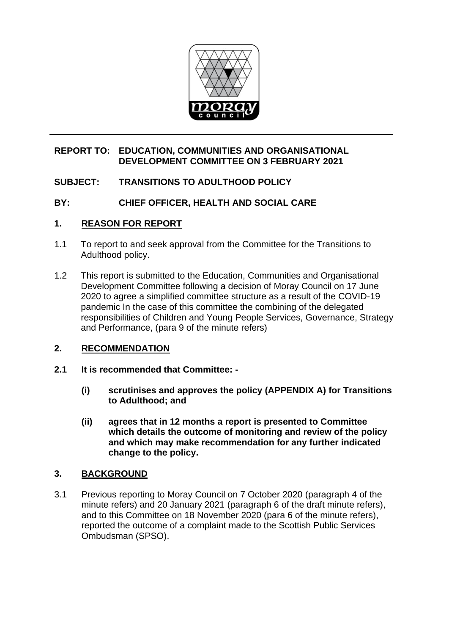

#### **REPORT TO: EDUCATION, COMMUNITIES AND ORGANISATIONAL DEVELOPMENT COMMITTEE ON 3 FEBRUARY 2021**

# **SUBJECT: TRANSITIONS TO ADULTHOOD POLICY**

## **BY: CHIEF OFFICER, HEALTH AND SOCIAL CARE**

#### **1. REASON FOR REPORT**

- 1.1 To report to and seek approval from the Committee for the Transitions to Adulthood policy.
- 1.2 This report is submitted to the Education, Communities and Organisational Development Committee following a decision of Moray Council on 17 June 2020 to agree a simplified committee structure as a result of the COVID-19 pandemic In the case of this committee the combining of the delegated responsibilities of Children and Young People Services, Governance, Strategy and Performance, (para 9 of the minute refers)

## **2. RECOMMENDATION**

- **2.1 It is recommended that Committee: -**
	- **(i) scrutinises and approves the policy (APPENDIX A) for Transitions to Adulthood; and**
	- **(ii) agrees that in 12 months a report is presented to Committee which details the outcome of monitoring and review of the policy and which may make recommendation for any further indicated change to the policy.**

## **3. BACKGROUND**

3.1 Previous reporting to Moray Council on 7 October 2020 (paragraph 4 of the minute refers) and 20 January 2021 (paragraph 6 of the draft minute refers), and to this Committee on 18 November 2020 (para 6 of the minute refers), reported the outcome of a complaint made to the Scottish Public Services Ombudsman (SPSO).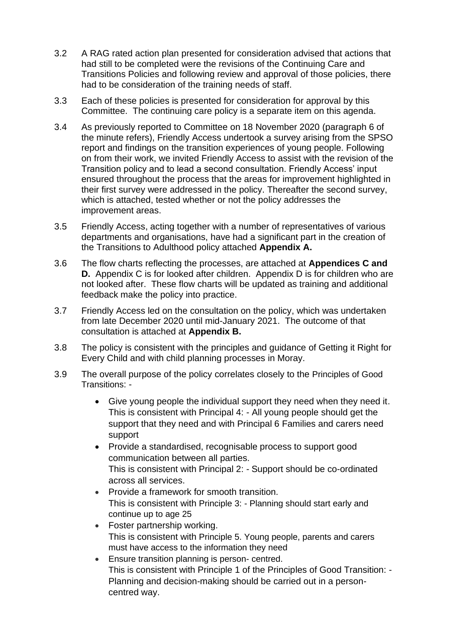- 3.2 A RAG rated action plan presented for consideration advised that actions that had still to be completed were the revisions of the Continuing Care and Transitions Policies and following review and approval of those policies, there had to be consideration of the training needs of staff.
- 3.3 Each of these policies is presented for consideration for approval by this Committee. The continuing care policy is a separate item on this agenda.
- 3.4 As previously reported to Committee on 18 November 2020 (paragraph 6 of the minute refers), Friendly Access undertook a survey arising from the SPSO report and findings on the transition experiences of young people. Following on from their work, we invited Friendly Access to assist with the revision of the Transition policy and to lead a second consultation. Friendly Access' input ensured throughout the process that the areas for improvement highlighted in their first survey were addressed in the policy. Thereafter the second survey, which is attached, tested whether or not the policy addresses the improvement areas.
- 3.5 Friendly Access, acting together with a number of representatives of various departments and organisations, have had a significant part in the creation of the Transitions to Adulthood policy attached **Appendix A.**
- 3.6 The flow charts reflecting the processes, are attached at **Appendices C and D.** Appendix C is for looked after children. Appendix D is for children who are not looked after. These flow charts will be updated as training and additional feedback make the policy into practice.
- 3.7 Friendly Access led on the consultation on the policy, which was undertaken from late December 2020 until mid-January 2021. The outcome of that consultation is attached at **Appendix B.**
- 3.8 The policy is consistent with the principles and guidance of Getting it Right for Every Child and with child planning processes in Moray.
- 3.9 The overall purpose of the policy correlates closely to the Principles of Good Transitions: -
	- Give young people the individual support they need when they need it. This is consistent with Principal 4: - All young people should get the support that they need and with Principal 6 Families and carers need support
	- Provide a standardised, recognisable process to support good communication between all parties. This is consistent with Principal 2: - Support should be co-ordinated across all services.
	- Provide a framework for smooth transition. This is consistent with Principle 3: - [Planning should start early and](https://scottishtransitions.org.uk/blank/wp-content/uploads/2019/08/Principle3-planning-should-start-early-continue-to-age25.pdf)  [continue up to age 25](https://scottishtransitions.org.uk/blank/wp-content/uploads/2019/08/Principle3-planning-should-start-early-continue-to-age25.pdf)
	- Foster partnership working. This is consistent with [Principle 5. Young people, parents and carers](https://scottishtransitions.org.uk/blank/wp-content/uploads/2019/08/Principle5-young-people-parents-carers-have-access-to-information-they-need.pdf)  [must have access to the information they need](https://scottishtransitions.org.uk/blank/wp-content/uploads/2019/08/Principle5-young-people-parents-carers-have-access-to-information-they-need.pdf)
	- Ensure transition planning is person- centred. This is consistent with Principle 1 of the Principles of Good Transition: - Planning and decision-making should be carried out in a personcentred way.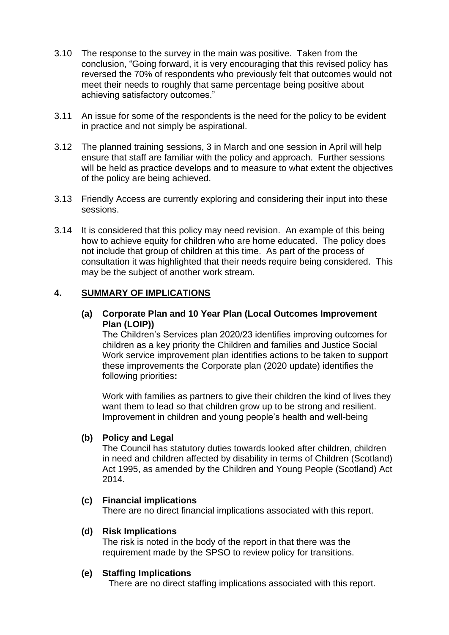- 3.10 The response to the survey in the main was positive. Taken from the conclusion, "Going forward, it is very encouraging that this revised policy has reversed the 70% of respondents who previously felt that outcomes would not meet their needs to roughly that same percentage being positive about achieving satisfactory outcomes."
- 3.11 An issue for some of the respondents is the need for the policy to be evident in practice and not simply be aspirational.
- 3.12 The planned training sessions, 3 in March and one session in April will help ensure that staff are familiar with the policy and approach. Further sessions will be held as practice develops and to measure to what extent the objectives of the policy are being achieved.
- 3.13 Friendly Access are currently exploring and considering their input into these sessions.
- 3.14 It is considered that this policy may need revision. An example of this being how to achieve equity for children who are home educated. The policy does not include that group of children at this time. As part of the process of consultation it was highlighted that their needs require being considered. This may be the subject of another work stream.

#### **4. SUMMARY OF IMPLICATIONS**

#### **(a) Corporate Plan and 10 Year Plan (Local Outcomes Improvement Plan (LOIP))**

The Children's Services plan 2020/23 identifies improving outcomes for children as a key priority the Children and families and Justice Social Work service improvement plan identifies actions to be taken to support these improvements the Corporate plan (2020 update) identifies the following priorities**:**

Work with families as partners to give their children the kind of lives they want them to lead so that children grow up to be strong and resilient. Improvement in children and young people's health and well-being

#### **(b) Policy and Legal**

The Council has statutory duties towards looked after children, children in need and children affected by disability in terms of Children (Scotland) Act 1995, as amended by the Children and Young People (Scotland) Act 2014.

## **(c) Financial implications**

There are no direct financial implications associated with this report.

#### **(d) Risk Implications**

The risk is noted in the body of the report in that there was the requirement made by the SPSO to review policy for transitions.

#### **(e) Staffing Implications**

There are no direct staffing implications associated with this report.